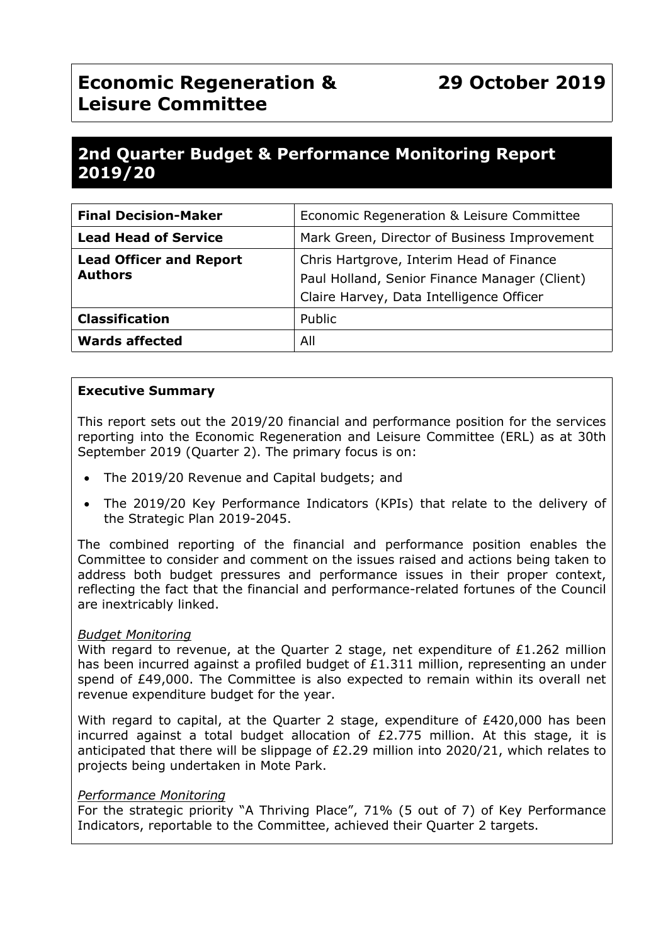# **Economic Regeneration & Leisure Committee**

## **2nd Quarter Budget & Performance Monitoring Report 2019/20**

| <b>Final Decision-Maker</b>                      | Economic Regeneration & Leisure Committee                                                                                             |
|--------------------------------------------------|---------------------------------------------------------------------------------------------------------------------------------------|
| <b>Lead Head of Service</b>                      | Mark Green, Director of Business Improvement                                                                                          |
| <b>Lead Officer and Report</b><br><b>Authors</b> | Chris Hartgrove, Interim Head of Finance<br>Paul Holland, Senior Finance Manager (Client)<br>Claire Harvey, Data Intelligence Officer |
| <b>Classification</b>                            | Public                                                                                                                                |
| <b>Wards affected</b>                            | All                                                                                                                                   |

## **Executive Summary**

This report sets out the 2019/20 financial and performance position for the services reporting into the Economic Regeneration and Leisure Committee (ERL) as at 30th September 2019 (Quarter 2). The primary focus is on:

- The 2019/20 Revenue and Capital budgets; and
- The 2019/20 Key Performance Indicators (KPIs) that relate to the delivery of the Strategic Plan 2019-2045.

The combined reporting of the financial and performance position enables the Committee to consider and comment on the issues raised and actions being taken to address both budget pressures and performance issues in their proper context, reflecting the fact that the financial and performance-related fortunes of the Council are inextricably linked.

#### *Budget Monitoring*

With regard to revenue, at the Quarter 2 stage, net expenditure of £1.262 million has been incurred against a profiled budget of  $£1.311$  million, representing an under spend of £49,000. The Committee is also expected to remain within its overall net revenue expenditure budget for the year.

With regard to capital, at the Quarter 2 stage, expenditure of  $£420,000$  has been incurred against a total budget allocation of £2.775 million. At this stage, it is anticipated that there will be slippage of £2.29 million into 2020/21, which relates to projects being undertaken in Mote Park.

#### *Performance Monitoring*

For the strategic priority "A Thriving Place", 71% (5 out of 7) of Key Performance Indicators, reportable to the Committee, achieved their Quarter 2 targets.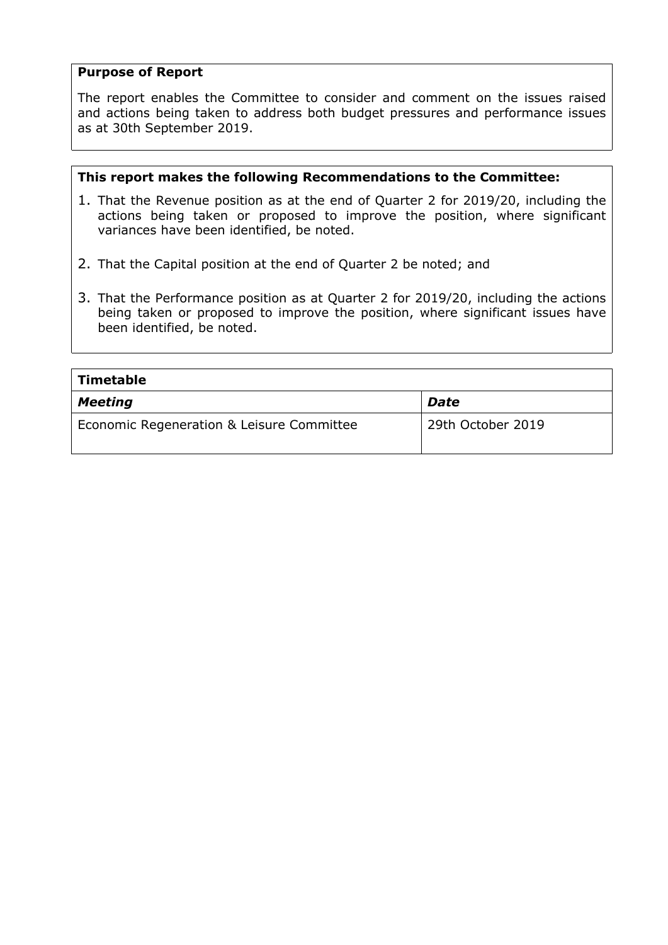## **Purpose of Report**

The report enables the Committee to consider and comment on the issues raised and actions being taken to address both budget pressures and performance issues as at 30th September 2019.

### **This report makes the following Recommendations to the Committee:**

- 1. That the Revenue position as at the end of Quarter 2 for 2019/20, including the actions being taken or proposed to improve the position, where significant variances have been identified, be noted.
- 2. That the Capital position at the end of Quarter 2 be noted; and
- 3. That the Performance position as at Quarter 2 for 2019/20, including the actions being taken or proposed to improve the position, where significant issues have been identified, be noted.

| Timetable                                 |                   |  |  |  |
|-------------------------------------------|-------------------|--|--|--|
| <b>Meeting</b>                            | <b>Date</b>       |  |  |  |
| Economic Regeneration & Leisure Committee | 29th October 2019 |  |  |  |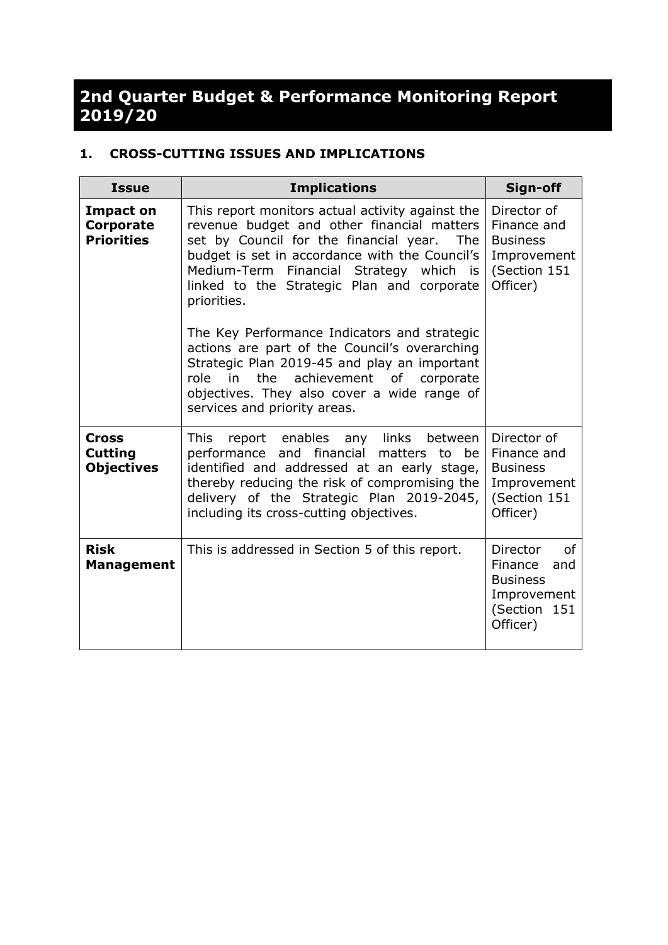## **2nd Quarter Budget & Performance Monitoring Report 2019/20**

## **1. CROSS-CUTTING ISSUES AND IMPLICATIONS**

| <b>Issue</b>                                        | <b>Implications</b>                                                                                                                                                                                                                                                                                            | Sign-off                                                                                       |
|-----------------------------------------------------|----------------------------------------------------------------------------------------------------------------------------------------------------------------------------------------------------------------------------------------------------------------------------------------------------------------|------------------------------------------------------------------------------------------------|
| Impact on<br><b>Corporate</b><br><b>Priorities</b>  | This report monitors actual activity against the<br>revenue budget and other financial matters<br>set by Council for the financial year.<br>The l<br>budget is set in accordance with the Council's<br>Medium-Term<br>Financial Strategy which is<br>linked to the Strategic Plan and corporate<br>priorities. | Director of<br>Finance and<br><b>Business</b><br>Improvement<br>(Section 151<br>Officer)       |
|                                                     | The Key Performance Indicators and strategic<br>actions are part of the Council's overarching<br>Strategic Plan 2019-45 and play an important<br>the<br>achievement<br>of<br>role<br>in<br>corporate<br>objectives. They also cover a wide range of<br>services and priority areas.                            |                                                                                                |
| <b>Cross</b><br><b>Cutting</b><br><b>Objectives</b> | report enables any links<br>This<br>between<br>financial<br>performance<br>and<br>matters to<br>be<br>identified and addressed at an early stage,<br>thereby reducing the risk of compromising the<br>delivery of the Strategic Plan 2019-2045,<br>including its cross-cutting objectives.                     | Director of<br>Finance and<br><b>Business</b><br>Improvement<br>(Section 151<br>Officer)       |
| <b>Risk</b><br><b>Management</b>                    | This is addressed in Section 5 of this report.                                                                                                                                                                                                                                                                 | Director<br>οf<br>Finance<br>and<br><b>Business</b><br>Improvement<br>(Section 151<br>Officer) |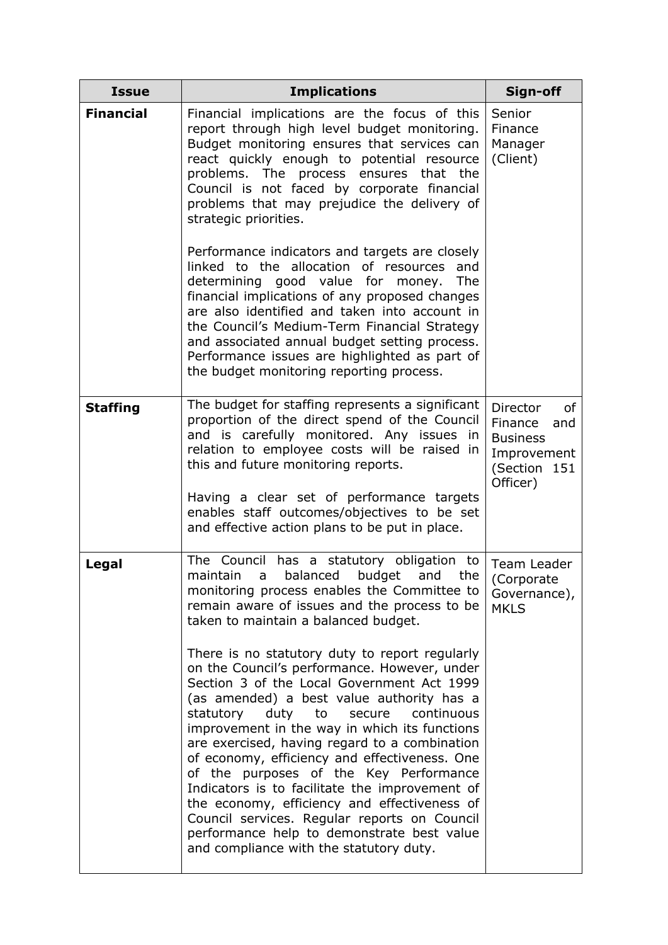| <b>Issue</b>     | <b>Implications</b>                                                                                                                                                                                                                                                                                                                                                                                                                                                                                                                                                                                                                                                                                                                                                                                                                                                                                                           | Sign-off                                                                                       |
|------------------|-------------------------------------------------------------------------------------------------------------------------------------------------------------------------------------------------------------------------------------------------------------------------------------------------------------------------------------------------------------------------------------------------------------------------------------------------------------------------------------------------------------------------------------------------------------------------------------------------------------------------------------------------------------------------------------------------------------------------------------------------------------------------------------------------------------------------------------------------------------------------------------------------------------------------------|------------------------------------------------------------------------------------------------|
| <b>Financial</b> | Financial implications are the focus of this<br>report through high level budget monitoring.<br>Budget monitoring ensures that services can<br>react quickly enough to potential resource<br>problems. The process<br>ensures that the<br>Council is not faced by corporate financial<br>problems that may prejudice the delivery of<br>strategic priorities.                                                                                                                                                                                                                                                                                                                                                                                                                                                                                                                                                                 | Senior<br>Finance<br>Manager<br>(Client)                                                       |
|                  | Performance indicators and targets are closely<br>linked to the allocation of resources<br>and<br>determining good value for money.<br><b>The</b><br>financial implications of any proposed changes<br>are also identified and taken into account in<br>the Council's Medium-Term Financial Strategy<br>and associated annual budget setting process.<br>Performance issues are highlighted as part of<br>the budget monitoring reporting process.                                                                                                                                                                                                                                                                                                                                                                                                                                                                            |                                                                                                |
| <b>Staffing</b>  | The budget for staffing represents a significant<br>proportion of the direct spend of the Council<br>and is carefully monitored. Any issues in<br>relation to employee costs will be raised in<br>this and future monitoring reports.<br>Having a clear set of performance targets<br>enables staff outcomes/objectives to be set<br>and effective action plans to be put in place.                                                                                                                                                                                                                                                                                                                                                                                                                                                                                                                                           | Director<br>of<br>Finance<br>and<br><b>Business</b><br>Improvement<br>(Section 151<br>Officer) |
| Legal            | The Council<br>has a statutory obligation to<br>maintain<br>balanced<br>budget<br>the<br>and<br>a<br>monitoring process enables the Committee to<br>remain aware of issues and the process to be<br>taken to maintain a balanced budget.<br>There is no statutory duty to report regularly<br>on the Council's performance. However, under<br>Section 3 of the Local Government Act 1999<br>(as amended) a best value authority has a<br>duty to<br>secure<br>continuous<br>statutory<br>improvement in the way in which its functions<br>are exercised, having regard to a combination<br>of economy, efficiency and effectiveness. One<br>of the purposes of the Key Performance<br>Indicators is to facilitate the improvement of<br>the economy, efficiency and effectiveness of<br>Council services. Regular reports on Council<br>performance help to demonstrate best value<br>and compliance with the statutory duty. | Team Leader<br>(Corporate<br>Governance),<br><b>MKLS</b>                                       |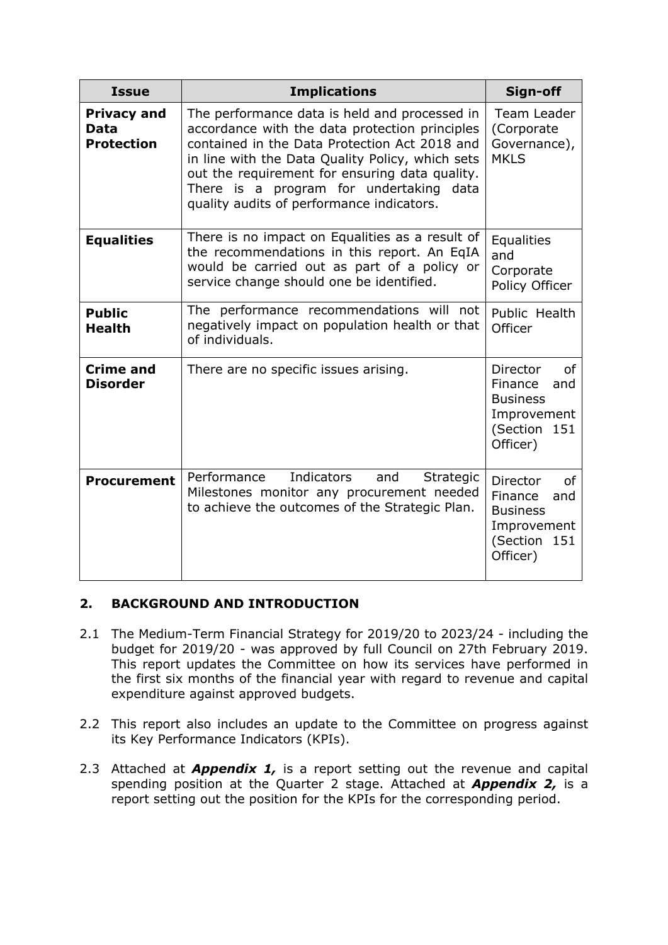| <b>Issue</b>                                    | <b>Implications</b>                                                                                                                                                                                                                                                                                                                               | Sign-off                                                                                          |
|-------------------------------------------------|---------------------------------------------------------------------------------------------------------------------------------------------------------------------------------------------------------------------------------------------------------------------------------------------------------------------------------------------------|---------------------------------------------------------------------------------------------------|
| <b>Privacy and</b><br>Data<br><b>Protection</b> | The performance data is held and processed in<br>accordance with the data protection principles<br>contained in the Data Protection Act 2018 and<br>in line with the Data Quality Policy, which sets<br>out the requirement for ensuring data quality.<br>There is a program for undertaking<br>data<br>quality audits of performance indicators. | Team Leader<br>(Corporate<br>Governance),<br><b>MKLS</b>                                          |
| <b>Equalities</b>                               | There is no impact on Equalities as a result of<br>the recommendations in this report. An EqIA<br>would be carried out as part of a policy or<br>service change should one be identified.                                                                                                                                                         | Equalities<br>and<br>Corporate<br>Policy Officer                                                  |
| <b>Public</b><br><b>Health</b>                  | The performance recommendations will not<br>negatively impact on population health or that<br>of individuals.                                                                                                                                                                                                                                     | Public Health<br>Officer                                                                          |
| <b>Crime and</b><br><b>Disorder</b>             | There are no specific issues arising.                                                                                                                                                                                                                                                                                                             | Director<br>οf<br>Finance<br>and<br><b>Business</b><br>Improvement<br>(Section<br>151<br>Officer) |
| <b>Procurement</b>                              | Performance<br>Indicators<br>and<br>Strategic<br>Milestones monitor any procurement needed<br>to achieve the outcomes of the Strategic Plan.                                                                                                                                                                                                      | Director<br>0f<br>Finance<br>and<br><b>Business</b><br>Improvement<br>(Section<br>151<br>Officer) |

## **2. BACKGROUND AND INTRODUCTION**

- 2.1 The Medium-Term Financial Strategy for 2019/20 to 2023/24 including the budget for 2019/20 - was approved by full Council on 27th February 2019. This report updates the Committee on how its services have performed in the first six months of the financial year with regard to revenue and capital expenditure against approved budgets.
- 2.2 This report also includes an update to the Committee on progress against its Key Performance Indicators (KPIs).
- 2.3 Attached at *Appendix 1,* is a report setting out the revenue and capital spending position at the Quarter 2 stage. Attached at *Appendix 2,* is a report setting out the position for the KPIs for the corresponding period.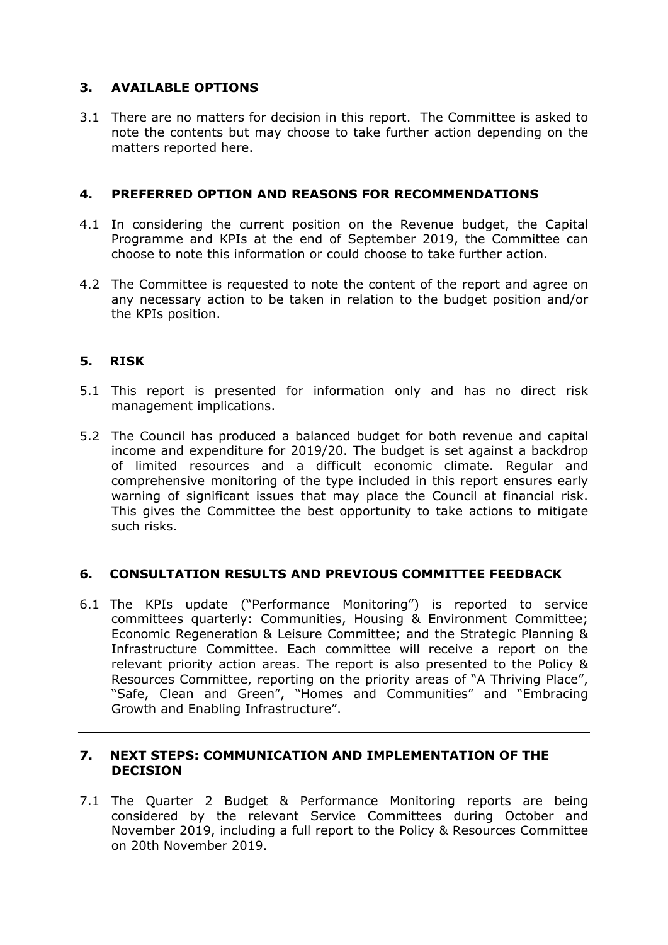## **3. AVAILABLE OPTIONS**

3.1 There are no matters for decision in this report. The Committee is asked to note the contents but may choose to take further action depending on the matters reported here.

### **4. PREFERRED OPTION AND REASONS FOR RECOMMENDATIONS**

- 4.1 In considering the current position on the Revenue budget, the Capital Programme and KPIs at the end of September 2019, the Committee can choose to note this information or could choose to take further action.
- 4.2 The Committee is requested to note the content of the report and agree on any necessary action to be taken in relation to the budget position and/or the KPIs position.

## **5. RISK**

- 5.1 This report is presented for information only and has no direct risk management implications.
- 5.2 The Council has produced a balanced budget for both revenue and capital income and expenditure for 2019/20. The budget is set against a backdrop of limited resources and a difficult economic climate. Regular and comprehensive monitoring of the type included in this report ensures early warning of significant issues that may place the Council at financial risk. This gives the Committee the best opportunity to take actions to mitigate such risks.

## **6. CONSULTATION RESULTS AND PREVIOUS COMMITTEE FEEDBACK**

6.1 The KPIs update ("Performance Monitoring") is reported to service committees quarterly: Communities, Housing & Environment Committee; Economic Regeneration & Leisure Committee; and the Strategic Planning & Infrastructure Committee. Each committee will receive a report on the relevant priority action areas. The report is also presented to the Policy & Resources Committee, reporting on the priority areas of "A Thriving Place", "Safe, Clean and Green", "Homes and Communities" and "Embracing Growth and Enabling Infrastructure".

### **7. NEXT STEPS: COMMUNICATION AND IMPLEMENTATION OF THE DECISION**

7.1 The Quarter 2 Budget & Performance Monitoring reports are being considered by the relevant Service Committees during October and November 2019, including a full report to the Policy & Resources Committee on 20th November 2019.